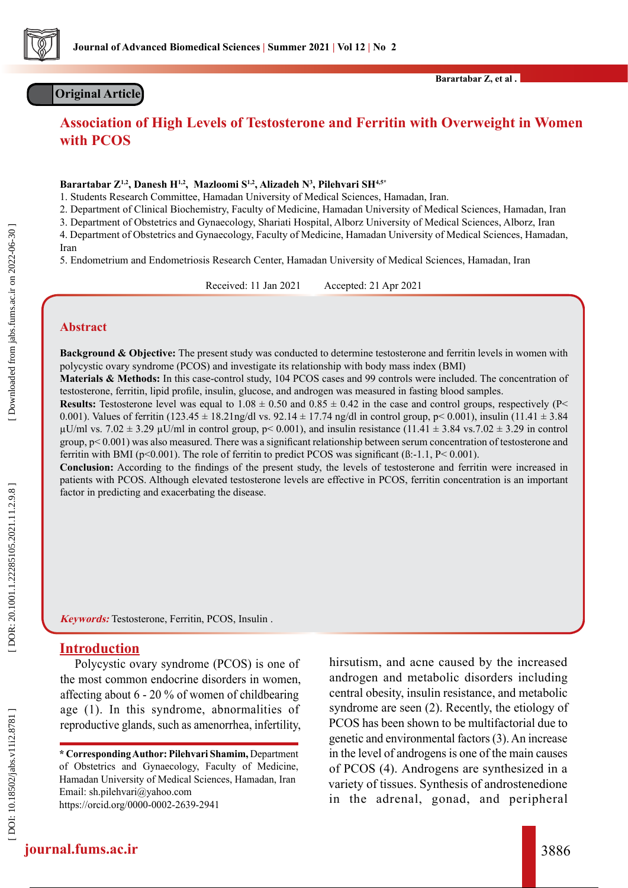

## **Original Article**

**Barartabar Z, et al .**

## **Association of High Levels of Testosterone and Ferritin with Overweight in Women with PCOS**

#### **Barartabar Z1,2, Danesh H1,2, Mazloomi S1,2, Alizadeh N 3 , Pilehvari SH4,5\***

1. Students Research Committee, Hamadan University of Medical Sciences, Hamadan, Iran.

2. Department of Clinical Biochemistry, Faculty of Medicine, Hamadan University of Medical Sciences, Hamadan, Iran

3. Department of Obstetrics and Gynaecology, Shariati Hospital, Alborz University of Medical Sciences, Alborz, Iran

4. Department of Obstetrics and Gynaecology, Faculty of Medicine, Hamadan University of Medical Sciences, Hamadan, Iran

5. Endometrium and Endometriosis Research Center, Hamadan University of Medical Sciences, Hamadan, Iran

Received: 11 Jan 2021 Accepted: 21 Apr 2021

#### **Abstract**

**Background & Objective:** The present study was conducted to determine testosterone and ferritin levels in women with polycystic ovary syndrome (PCOS) and investigate its relationship with body mass index (BMI)

**Materials & Methods:** In this case-control study, 104 PCOS cases and 99 controls were included. The concentration of testosterone, ferritin, lipid profile, insulin, glucose, and androgen was measured in fasting blood samples.

**Results:** Testosterone level was equal to  $1.08 \pm 0.50$  and  $0.85 \pm 0.42$  in the case and control groups, respectively (P 0.001). Values of ferritin  $(123.45 \pm 18.21 \text{ng/d}$  vs.  $92.14 \pm 17.74 \text{ ng/d}$  in control group, p< 0.001), insulin  $(11.41 \pm 3.84$  $\mu$ U/ml vs. 7.02  $\pm$  3.29  $\mu$ U/ml in control group, p< 0.001), and insulin resistance (11.41  $\pm$  3.84 vs.7.02  $\pm$  3.29 in control group, p< 0.001) was also measured. There was a significant relationship between serum concentration of testosterone and ferritin with BMI ( $p<0.001$ ). The role of ferritin to predict PCOS was significant ( $\beta$ :-1.1, P< 0.001).

**Conclusion:** According to the findings of the present study, the levels of testosterone and ferritin were increased in patients with PCOS. Although elevated testosterone levels are effective in PCOS, ferritin concentration is an important factor in predicting and exacerbating the disease.

**Keywords:** Testosterone, Ferritin, PCOS, Insulin .

#### **Introduction**

Polycystic ovary syndrome (PCOS) is one of the most common endocrine disorders in women, affecting about 6 - 20 % of women of childbearing age (1). In this syndrome, abnormalities of reproductive glands, such as amenorrhea, infertility, hirsutism, and acne caused by the increased androgen and metabolic disorders including central obesity, insulin resistance, and metabolic syndrome are seen (2). Recently, the etiology of PCOS has been shown to be multifactorial due to genetic and environmental factors (3). An increase in the level of androgens is one of the main causes of PCOS (4). Androgens are synthesized in a variety of tissues. Synthesis of androstenedione in the adrenal, gonad, and peripheral

**<sup>\*</sup> Corresponding Author: Pilehvari Shamim,** Department of Obstetrics and Gynaecology, Faculty of Medicine, Hamadan University of Medical Sciences, Hamadan, Iran [Email: sh.pilehvari@yahoo.com](mailto:%20sh.pilehvari%40yahoo.com?subject=) [https://orcid.org/0000-0002-2639-2941](https://orcid.org/0000-0002-2639-2941 )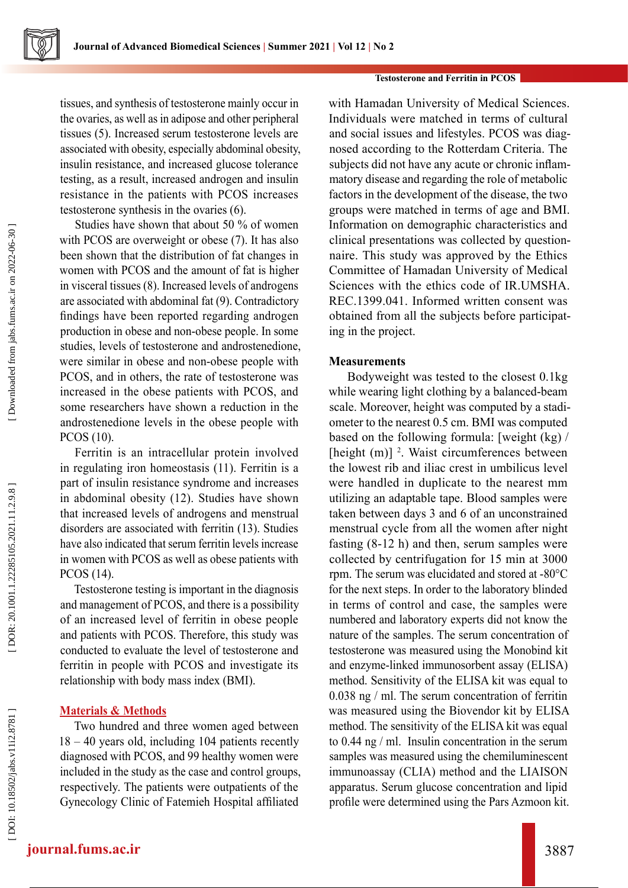#### **Testosterone and Ferritin in PCOS**

tissues, and synthesis of testosterone mainly occur in the ovaries, as well as in adipose and other peripheral tissues (5). Increased serum testosterone levels are associated with obesity, especially abdominal obesity, insulin resistance, and increased glucose tolerance testing, as a result, increased androgen and insulin resistance in the patients with PCOS increases testosterone synthesis in the ovaries (6).

Studies have shown that about 50 % of women with PCOS are overweight or obese (7). It has also been shown that the distribution of fat changes in women with PCOS and the amount of fat is higher in visceral tissues (8). Increased levels of androgens are associated with abdominal fat (9). Contradictory findings have been reported regarding androgen production in obese and non-obese people. In some studies, levels of testosterone and androstenedione, were similar in obese and non-obese people with PCOS, and in others, the rate of testosterone was increased in the obese patients with PCOS, and some researchers have shown a reduction in the androstenedione levels in the obese people with PCOS (10).

Ferritin is an intracellular protein involved in regulating iron homeostasis (11). Ferritin is a part of insulin resistance syndrome and increases in abdominal obesity (12). Studies have shown that increased levels of androgens and menstrual disorders are associated with ferritin (13). Studies have also indicated that serum ferritin levels increase in women with PCOS as well as obese patients with PCOS (14).

Testosterone testing is important in the diagnosis and management of PCOS, and there is a possibility of an increased level of ferritin in obese people and patients with PCOS. Therefore, this study was conducted to evaluate the level of testosterone and ferritin in people with PCOS and investigate its relationship with body mass index (BMI).

### **Materials & Methods**

Two hundred and three women aged between 18 – 40 years old, including 104 patients recently diagnosed with PCOS, and 99 healthy women were included in the study as the case and control groups, respectively. The patients were outpatients of the Gynecology Clinic of Fatemieh Hospital affiliated

with Hamadan University of Medical Sciences. Individuals were matched in terms of cultural and social issues and lifestyles. PCOS was diag nosed according to the Rotterdam Criteria. The subjects did not have any acute or chronic inflam matory disease and regarding the role of metabolic factors in the development of the disease, the two groups were matched in terms of age and BMI. Information on demographic characteristics and clinical presentations was collected by question naire. This study was approved by the Ethics Committee of Hamadan University of Medical Sciences with the ethics code of IR UMSHA. REC.1399.041. Informed written consent was obtained from all the subjects before participat ing in the project.

### **Measurements**

 Bodyweight was tested to the closest 0.1kg while wearing light clothing by a balanced-beam scale. Moreover, height was computed by a stadi ometer to the nearest 0.5 cm. BMI was computed based on the following formula: [weight (kg) / [height (m)] <sup>2</sup>. Waist circumferences between the lowest rib and iliac crest in umbilicus level were handled in duplicate to the nearest mm utilizing an adaptable tape. Blood samples were taken between days 3 and 6 of an unconstrained menstrual cycle from all the women after night fasting (8-12 h) and then, serum samples were collected by centrifugation for 15 min at 3000 rpm. The serum was elucidated and stored at -80°C for the next steps. In order to the laboratory blinded in terms of control and case, the samples were numbered and laboratory experts did not know the nature of the samples. The serum concentration of testosterone was measured using the Monobind kit and enzyme-linked immunosorbent assay (ELISA) method. Sensitivity of the ELISA kit was equal to 0.038 ng / ml. The serum concentration of ferritin was measured using the Biovendor kit by ELISA method. The sensitivity of the ELISA kit was equal to 0.44 ng / ml. Insulin concentration in the serum samples was measured using the chemiluminescent immunoassay (CLIA) method and the LIAISON apparatus. Serum glucose concentration and lipid profile were determined using the Pars Azmoon kit.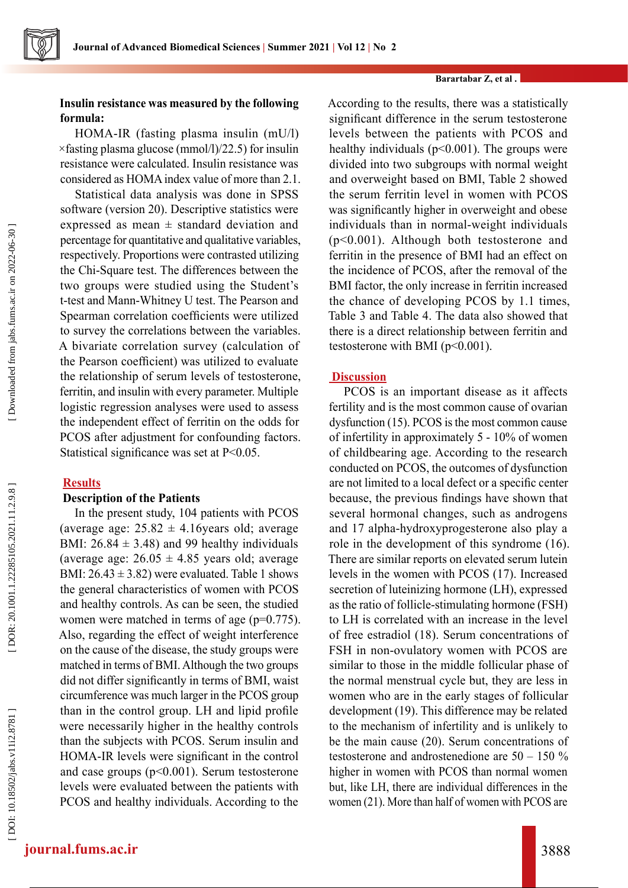#### **Barartabar Z, et al .**

## **Insulin resistance was measured by the following formula:**

HOMA-IR (fasting plasma insulin (mU/l)  $\times$ fasting plasma glucose (mmol/l)/22.5) for insulin resistance were calculated. Insulin resistance was considered as HOMA index value of more than 2.1.

Statistical data analysis was done in SPSS software (version 20). Descriptive statistics were expressed as mean  $\pm$  standard deviation and percentage for quantitative and qualitative variables, respectively. Proportions were contrasted utilizing the Chi-Square test. The differences between the two groups were studied using the Student's t-test and Mann-Whitney U test. The Pearson and Spearman correlation coefficients were utilized to survey the correlations between the variables. A bivariate correlation survey (calculation of the Pearson coefficient) was utilized to evaluate the relationship of serum levels of testosterone, ferritin, and insulin with every parameter. Multiple logistic regression analyses were used to assess the independent effect of ferritin on the odds for PCOS after adjustment for confounding factors. Statistical significance was set at P<0.05.

## **Results**

## **Description of the Patients**

In the present study, 104 patients with PCOS (average age:  $25.82 \pm 4.16$ years old; average BMI:  $26.84 \pm 3.48$ ) and 99 healthy individuals (average age:  $26.05 \pm 4.85$  years old; average BMI:  $26.43 \pm 3.82$ ) were evaluated. Table 1 shows the general characteristics of women with PCOS and healthy controls. As can be seen, the studied women were matched in terms of age ( $p=0.775$ ). Also, regarding the effect of weight interference on the cause of the disease, the study groups were matched in terms of BMI. Although the two groups did not differ significantly in terms of BMI, waist circumference was much larger in the PCOS group than in the control group. LH and lipid profile were necessarily higher in the healthy controls than the subjects with PCOS. Serum insulin and HOMA-IR levels were significant in the control and case groups (p<0.001). Serum testosterone levels were evaluated between the patients with PCOS and healthy individuals. According to the

According to the results, there was a statistically significant difference in the serum testosterone levels between the patients with PCOS and healthy individuals ( $p<0.001$ ). The groups were divided into two subgroups with normal weight and overweight based on BMI, Table 2 showed the serum ferritin level in women with PCOS was significantly higher in overweight and obese individuals than in normal-weight individuals (p<0.001). Although both testosterone and ferritin in the presence of BMI had an effect on the incidence of PCOS, after the removal of the BMI factor, the only increase in ferritin increased the chance of developing PCOS by 1.1 times, Table 3 and Table 4. The data also showed that there is a direct relationship between ferritin and testosterone with BMI (p<0.001).

## **Discussion**

PCOS is an important disease as it affects fertility and is the most common cause of ovarian dysfunction (15). PCOS is the most common cause of infertility in approximately 5 - 10% of women of childbearing age. According to the research conducted on PCOS, the outcomes of dysfunction are not limited to a local defect or a specific center because, the previous findings have shown that several hormonal changes, such as androgens and 17 alpha-hydroxyprogesterone also play a role in the development of this syndrome (16). There are similar reports on elevated serum lutein levels in the women with PCOS (17). Increased secretion of luteinizing hormone (LH), expressed as the ratio of follicle-stimulating hormone (FSH) to LH is correlated with an increase in the level of free estradiol (18). Serum concentrations of FSH in non-ovulatory women with PCOS are similar to those in the middle follicular phase of the normal menstrual cycle but, they are less in women who are in the early stages of follicular development (19). This difference may be related to the mechanism of infertility and is unlikely to be the main cause (20). Serum concentrations of testosterone and androstenedione are 50 – 150 % higher in women with PCOS than normal women but, like LH, there are individual differences in the women (21). More than half of women with PCOS are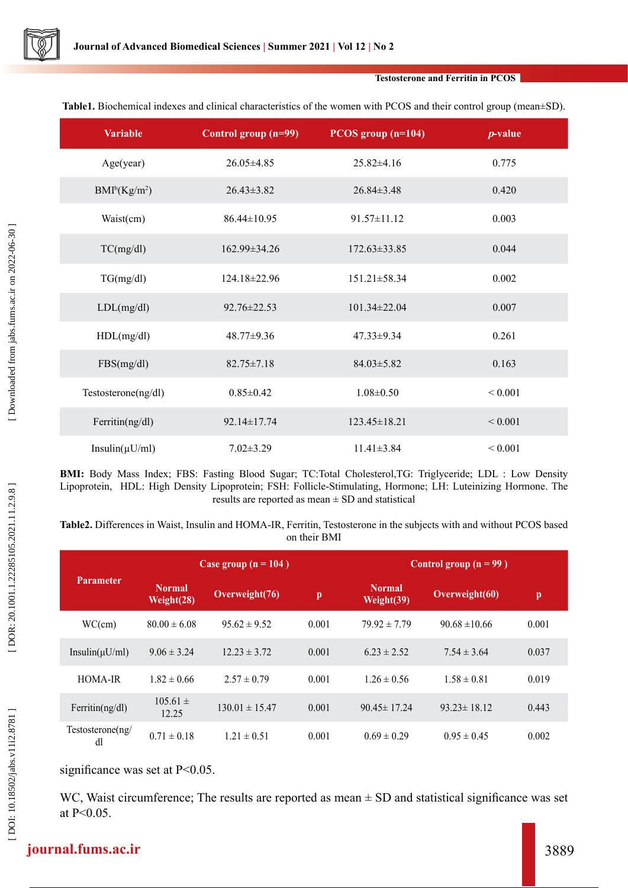

#### **Testosterone and Ferritin in PCOS**

**Table1.** Biochemical indexes and clinical characteristics of the women with PCOS and their control group (mean±SD).

| <b>Variable</b>      | Control group (n=99) | PCOS group $(n=104)$ | $p$ -value   |  |
|----------------------|----------------------|----------------------|--------------|--|
| Age(year)            | 26.05±4.85           | $25.82\pm4.16$       | 0.775        |  |
| $BMI^b(Kg/m^2)$      | $26.43\pm3.82$       | $26.84\pm3.48$       | 0.420        |  |
| Waist(cm)            | $86.44 \pm 10.95$    | $91.57 \pm 11.12$    | 0.003        |  |
| TC(mg/dl)            | $162.99 \pm 34.26$   | $172.63\pm33.85$     | 0.044        |  |
| TG(mg/dl)            | $124.18 \pm 22.96$   | $151.21 \pm 58.34$   | 0.002        |  |
| LDL(mg/dl)           | $92.76 \pm 22.53$    | $101.34 \pm 22.04$   | 0.007        |  |
| HDL(mg/dl)           | $48.77 \pm 9.36$     | $47.33 \pm 9.34$     | 0.261        |  |
| FBS(mg/dl)           | $82.75 \pm 7.18$     | $84.03 \pm 5.82$     | 0.163        |  |
| Testosterone(ng/dl)  | $0.85 \pm 0.42$      | $1.08 \pm 0.50$      | ${}< 0.001$  |  |
| Ferritin $(ng/dl)$   | 92.14±17.74          | $123.45 \pm 18.21$   | ${}_{0.001}$ |  |
| Insulin( $\mu$ U/ml) | $7.02 \pm 3.29$      | $11.41\pm3.84$       | ${}< 0.001$  |  |

**BMI:** Body Mass Index; FBS: Fasting Blood Sugar; TC:Total Cholesterol,TG: Triglyceride; LDL : Low Density Lipoprotein, HDL: High Density Lipoprotein; FSH: Follicle-Stimulating, Hormone; LH: Luteinizing Hormone. The results are reported as mean  $\pm$  SD and statistical

**Table2.** Differences in Waist, Insulin and HOMA-IR, Ferritin, Testosterone in the subjects with and without PCOS based on their BMI

| <b>Parameter</b>       | Case group $(n = 104)$      |                    |              |                             | Control group $(n = 99)$ |              |  |
|------------------------|-----------------------------|--------------------|--------------|-----------------------------|--------------------------|--------------|--|
|                        | <b>Normal</b><br>Weight(28) | Overweight(76)     | $\mathbf{p}$ | <b>Normal</b><br>Weight(39) | Overweight(60)           | $\mathbf{p}$ |  |
| WC(cm)                 | $80.00 \pm 6.08$            | $95.62 \pm 9.52$   | 0.001        | $79.92 \pm 7.79$            | $90.68 \pm 10.66$        | 0.001        |  |
| Insulin( $\mu$ U/ml)   | $9.06 \pm 3.24$             | $12.23 \pm 3.72$   | 0.001        | $6.23 \pm 2.52$             | $7.54 \pm 3.64$          | 0.037        |  |
| HOMA-IR                | $1.82 \pm 0.66$             | $2.57 \pm 0.79$    | 0.001        | $1.26 \pm 0.56$             | $1.58 \pm 0.81$          | 0.019        |  |
| Ferritin $(ng/dl)$     | $105.61 \pm$<br>12.25       | $130.01 \pm 15.47$ | 0.001        | $90.45 \pm 17.24$           | $93.23 \pm 18.12$        | 0.443        |  |
| Testosterone(ng/<br>dl | $0.71 \pm 0.18$             | $1.21 \pm 0.51$    | 0.001        | $0.69 \pm 0.29$             | $0.95 \pm 0.45$          | 0.002        |  |

significance was set at P<0.05.

WC, Waist circumference; The results are reported as mean  $\pm$  SD and statistical significance was set at P<0.05.

# **journal.fums.ac.ir** 3889

DOI: 10.18502/jabs.v11i2.8781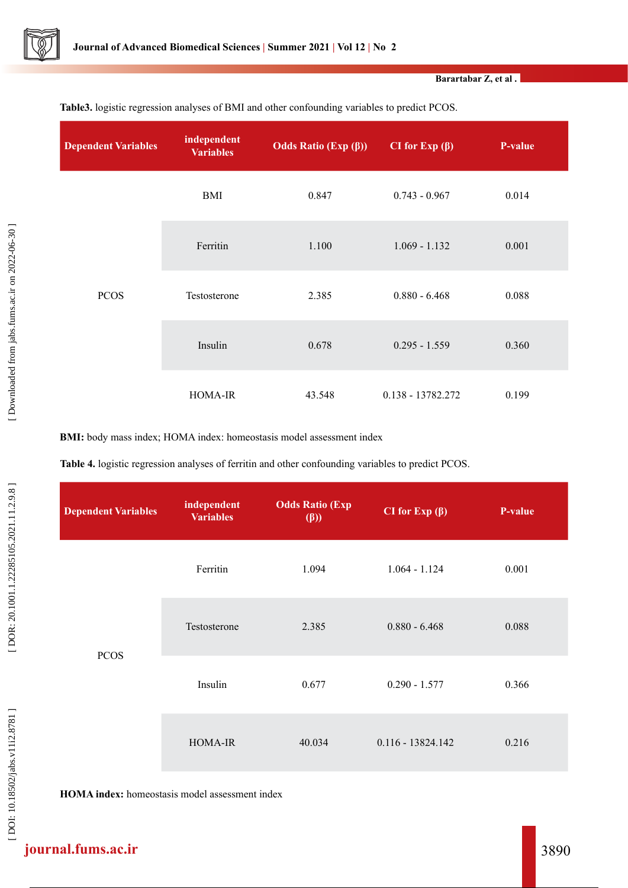

**Barartabar Z, et al .**

| <b>Dependent Variables</b> | independent<br><b>Variables</b> | Odds Ratio (Exp $(\beta)$ ) | CI for Exp $(\beta)$ | <b>P-value</b> |
|----------------------------|---------------------------------|-----------------------------|----------------------|----------------|
| <b>PCOS</b>                | BMI                             | 0.847                       | $0.743 - 0.967$      | 0.014          |
|                            | Ferritin                        | 1.100                       | $1.069 - 1.132$      | 0.001          |
|                            | Testosterone                    | 2.385                       | $0.880 - 6.468$      | 0.088          |
|                            | Insulin                         | 0.678                       | $0.295 - 1.559$      | 0.360          |
|                            | <b>HOMA-IR</b>                  | 43.548                      | 0.138 - 13782.272    | 0.199          |

**Table3.** logistic regression analyses of BMI and other confounding variables to predict PCOS.

**BMI:** body mass index; HOMA index: homeostasis model assessment index

**Table 4.** logistic regression analyses of ferritin and other confounding variables to predict PCOS.

| <b>Dependent Variables</b> | independent<br><b>Variables</b> | <b>Odds Ratio (Exp</b><br>$(\beta)$ | CI for Exp $(\beta)$ | P-value |
|----------------------------|---------------------------------|-------------------------------------|----------------------|---------|
| <b>PCOS</b>                | Ferritin                        | 1.094                               | $1.064 - 1.124$      | 0.001   |
|                            | Testosterone                    | 2.385                               | $0.880 - 6.468$      | 0.088   |
|                            | Insulin                         | 0.677                               | $0.290 - 1.577$      | 0.366   |
|                            | <b>HOMA-IR</b>                  | 40.034                              | $0.116 - 13824.142$  | 0.216   |

**HOMA index:** homeostasis model assessment index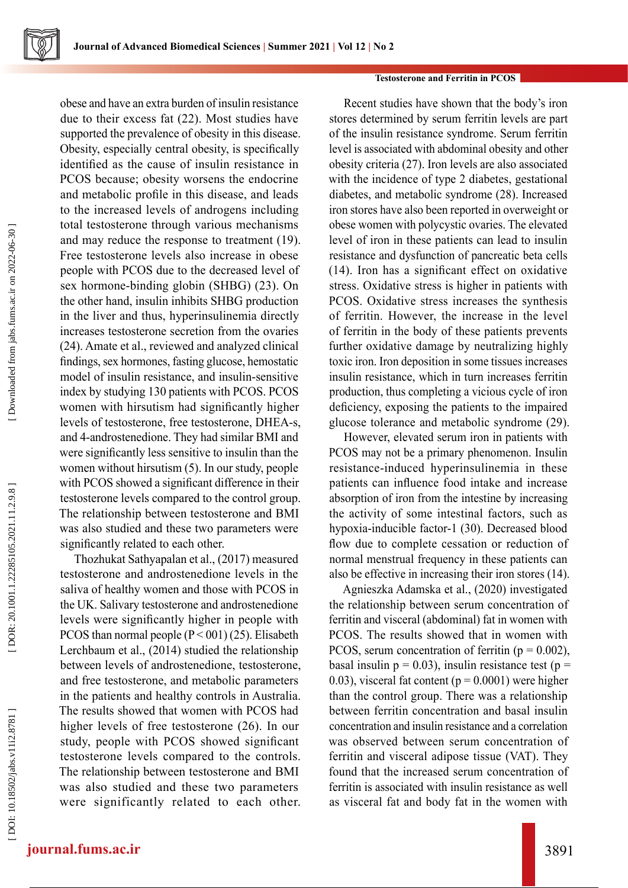

#### **Testosterone and Ferritin in PCOS**

obese and have an extra burden of insulin resistance due to their excess fat (22). Most studies have supported the prevalence of obesity in this disease. Obesity, especially central obesity, is specifically identified as the cause of insulin resistance in PCOS because; obesity worsens the endocrine and metabolic profile in this disease, and leads to the increased levels of androgens including total testosterone through various mechanisms and may reduce the response to treatment (19). Free testosterone levels also increase in obese people with PCOS due to the decreased level of sex hormone-binding globin (SHBG) (23). On the other hand, insulin inhibits SHBG production in the liver and thus, hyperinsulinemia directly increases testosterone secretion from the ovaries (24). Amate et al., reviewed and analyzed clinical findings, sex hormones, fasting glucose, hemostatic model of insulin resistance, and insulin-sensitive index by studying 130 patients with PCOS. PCOS women with hirsutism had significantly higher levels of testosterone, free testosterone, DHEA-s, and 4-androstenedione. They had similar BMI and were significantly less sensitive to insulin than the women without hirsutism (5). In our study, people with PCOS showed a significant difference in their testosterone levels compared to the control group. The relationship between testosterone and BMI was also studied and these two parameters were significantly related to each other.

Thozhukat Sathyapalan et al., (2017) measured testosterone and androstenedione levels in the saliva of healthy women and those with PCOS in the UK. Salivary testosterone and androstenedione levels were significantly higher in people with PCOS than normal people  $(P < 001)$  (25). Elisabeth Lerchbaum et al., (2014) studied the relationship between levels of androstenedione, testosterone, and free testosterone, and metabolic parameters in the patients and healthy controls in Australia. The results showed that women with PCOS had higher levels of free testosterone (26). In our study, people with PCOS showed significant testosterone levels compared to the controls. The relationship between testosterone and BMI was also studied and these two parameters were significantly related to each other.

Recent studies have shown that the body's iron stores determined by serum ferritin levels are part of the insulin resistance syndrome. Serum ferritin level is associated with abdominal obesity and other obesity criteria (27). Iron levels are also associated with the incidence of type 2 diabetes, gestational diabetes, and metabolic syndrome (28). Increased iron stores have also been reported in overweight or obese women with polycystic ovaries. The elevated level of iron in these patients can lead to insulin resistance and dysfunction of pancreatic beta cells (14). Iron has a significant effect on oxidative stress. Oxidative stress is higher in patients with PCOS. Oxidative stress increases the synthesis of ferritin. However, the increase in the level of ferritin in the body of these patients prevents further oxidative damage by neutralizing highly toxic iron. Iron deposition in some tissues increases insulin resistance, which in turn increases ferritin production, thus completing a vicious cycle of iron deficiency, exposing the patients to the impaired glucose tolerance and metabolic syndrome (29).

However, elevated serum iron in patients with PCOS may not be a primary phenomenon. Insulin resistance-induced hyperinsulinemia in these patients can influence food intake and increase absorption of iron from the intestine by increasing the activity of some intestinal factors, such as hypoxia-inducible factor-1 (30). Decreased blood flow due to complete cessation or reduction of normal menstrual frequency in these patients can also be effective in increasing their iron stores (14).

Agnieszka Adamska et al., (2020) investigated the relationship between serum concentration of ferritin and visceral (abdominal) fat in women with PCOS. The results showed that in women with PCOS, serum concentration of ferritin ( $p = 0.002$ ), basal insulin  $p = 0.03$ ), insulin resistance test ( $p =$ 0.03), visceral fat content ( $p = 0.0001$ ) were higher than the control group. There was a relationship between ferritin concentration and basal insulin concentration and insulin resistance and a correlation was observed between serum concentration of ferritin and visceral adipose tissue (VAT). They found that the increased serum concentration of ferritin is associated with insulin resistance as well as visceral fat and body fat in the women with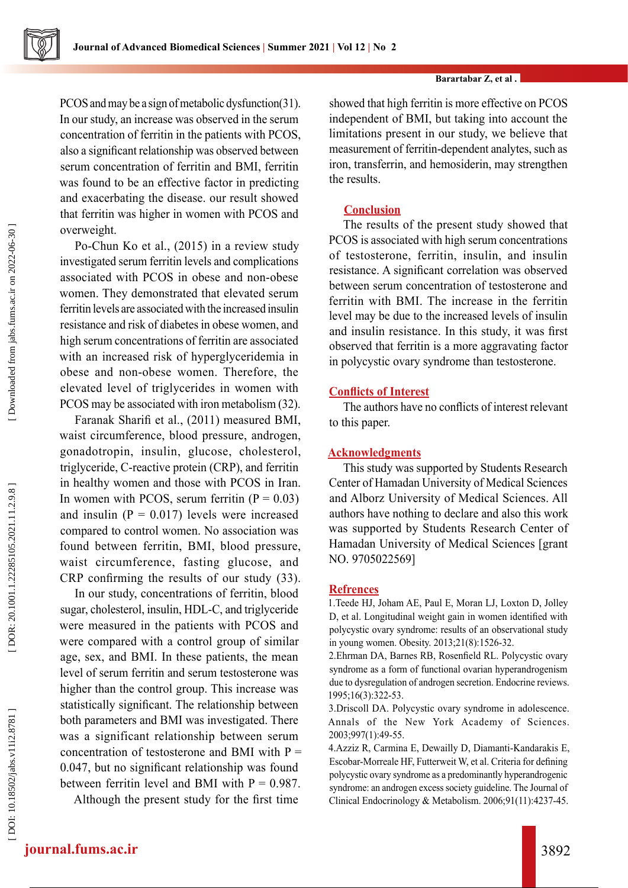

PCOS and may be a sign of metabolic dysfunction(31). In our study, an increase was observed in the serum concentration of ferritin in the patients with PCOS, also a significant relationship was observed between serum concentration of ferritin and BMI, ferritin was found to be an effective factor in predicting and exacerbating the disease. our result showed that ferritin was higher in women with PCOS and overweight.

Po-Chun Ko et al., (2015) in a review study investigated serum ferritin levels and complications associated with PCOS in obese and non-obese women. They demonstrated that elevated serum ferritin levels are associated with the increased insulin resistance and risk of diabetes in obese women, and high serum concentrations of ferritin are associated with an increased risk of hyperglyceridemia in obese and non-obese women. Therefore, the elevated level of triglycerides in women with PCOS may be associated with iron metabolism (32).

Faranak Sharifi et al., (2011) measured BMI, waist circumference, blood pressure, androgen, gonadotropin, insulin, glucose, cholesterol, triglyceride, C-reactive protein (CRP), and ferritin in healthy women and those with PCOS in Iran. In women with PCOS, serum ferritin  $(P = 0.03)$ and insulin  $(P = 0.017)$  levels were increased compared to control women. No association was found between ferritin, BMI, blood pressure, waist circumference, fasting glucose, and CRP confirming the results of our study (33).

In our study, concentrations of ferritin, blood sugar, cholesterol, insulin, HDL-C, and triglyceride were measured in the patients with PCOS and were compared with a control group of similar age, sex, and BMI. In these patients, the mean level of serum ferritin and serum testosterone was higher than the control group. This increase was statistically significant. The relationship between both parameters and BMI was investigated. There was a significant relationship between serum concentration of testosterone and BMI with  $P =$ 0.047, but no significant relationship was found between ferritin level and BMI with  $P = 0.987$ .

Although the present study for the first time

showed that high ferritin is more effective on PCOS independent of BMI, but taking into account the limitations present in our study, we believe that measurement of ferritin-dependent analytes, such as iron, transferrin, and hemosiderin, may strengthen the results.

## **Conclusion**

The results of the present study showed that PCOS is associated with high serum concentrations of testosterone, ferritin, insulin, and insulin resistance. A significant correlation was observed between serum concentration of testosterone and ferritin with BMI. The increase in the ferritin level may be due to the increased levels of insulin and insulin resistance. In this study, it was first observed that ferritin is a more aggravating factor in polycystic ovary syndrome than testosterone.

### **Conflicts of Interest**

The authors have no conflicts of interest relevant to this paper.

### **Acknowledgments**

This study was supported by Students Research Center of Hamadan University of Medical Sciences and Alborz University of Medical Sciences. All authors have nothing to declare and also this work was supported by Students Research Center of Hamadan University of Medical Sciences [grant NO. 9705022569]

### **Refrences**

1.Teede HJ, Joham AE, Paul E, Moran LJ, Loxton D, Jolley D, et al. Longitudinal weight gain in women identified with polycystic ovary syndrome: results of an observational study in young women. Obesity. 2013;21(8):1526-32.

2.Ehrman DA, Barnes RB, Rosenfield RL. Polycystic ovary syndrome as a form of functional ovarian hyperandrogenism due to dysregulation of androgen secretion. Endocrine reviews. 1995;16(3):322-53.

3.Driscoll DA. Polycystic ovary syndrome in adolescence. Annals of the New York Academy of Sciences. 2003;997(1):49-55.

4.Azziz R, Carmina E, Dewailly D, Diamanti-Kandarakis E, Escobar-Morreale HF, Futterweit W, et al. Criteria for defining polycystic ovary syndrome as a predominantly hyperandrogenic syndrome: an androgen excess society guideline. The Journal of Clinical Endocrinology & Metabolism. 2006;91(11):4237-45.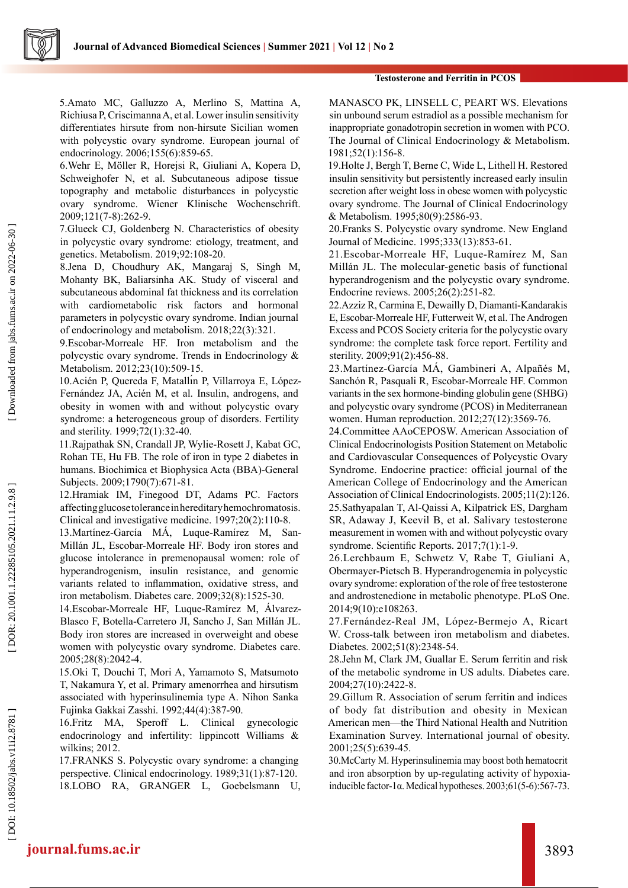

5.Amato MC, Galluzzo A, Merlino S, Mattina A, Richiusa P, Criscimanna A, et al. Lower insulin sensitivity differentiates hirsute from non-hirsute Sicilian women with polycystic ovary syndrome. European journal of endocrinology. 2006;155(6):859-65.

6.Wehr E, Möller R, Horejsi R, Giuliani A, Kopera D, Schweighofer N, et al. Subcutaneous adipose tissue topography and metabolic disturbances in polycystic ovary syndrome. Wiener Klinische Wochenschrift. 2009;121(7-8):262-9.

7.Glueck CJ, Goldenberg N. Characteristics of obesity in polycystic ovary syndrome: etiology, treatment, and genetics. Metabolism. 2019;92:108-20.

8.Jena D, Choudhury AK, Mangaraj S, Singh M, Mohanty BK, Baliarsinha AK. Study of visceral and subcutaneous abdominal fat thickness and its correlation with cardiometabolic risk factors and hormonal parameters in polycystic ovary syndrome. Indian journal of endocrinology and metabolism. 2018;22(3):321.

9.Escobar-Morreale HF. Iron metabolism and the polycystic ovary syndrome. Trends in Endocrinology & Metabolism. 2012;23(10):509-15.

10.Acién P, Quereda F, Matallı́n P, Villarroya E, López-Fernández JA, Acién M, et al. Insulin, androgens, and obesity in women with and without polycystic ovary syndrome: a heterogeneous group of disorders. Fertility and sterility. 1999;72(1):32-40.

11.Rajpathak SN, Crandall JP, Wylie-Rosett J, Kabat GC, Rohan TE, Hu FB. The role of iron in type 2 diabetes in humans. Biochimica et Biophysica Acta (BBA)-General Subjects. 2009;1790(7):671-81.

12.Hramiak IM, Finegood DT, Adams PC. Factors affecting glucose tolerance in hereditary hemochromatosis. Clinical and investigative medicine. 1997;20(2):110-8.

13.Martínez-García MÁ, Luque-Ramírez M, San-Millán JL, Escobar-Morreale HF. Body iron stores and glucose intolerance in premenopausal women: role of hyperandrogenism, insulin resistance, and genomic variants related to inflammation, oxidative stress, and iron metabolism. Diabetes care. 2009;32(8):1525-30.

14.Escobar-Morreale HF, Luque-Ramírez M, Álvarez-Blasco F, Botella-Carretero JI, Sancho J, San Millán JL. Body iron stores are increased in overweight and obese women with polycystic ovary syndrome. Diabetes care. 2005;28(8):2042-4.

15.Oki T, Douchi T, Mori A, Yamamoto S, Matsumoto T, Nakamura Y, et al. Primary amenorrhea and hirsutism associated with hyperinsulinemia type A. Nihon Sanka Fujinka Gakkai Zasshi. 1992;44(4):387-90.

16.Fritz MA, Speroff L. Clinical gynecologic endocrinology and infertility: lippincott Williams & wilkins; 2012.

17.FRANKS S. Polycystic ovary syndrome: a changing perspective. Clinical endocrinology. 1989;31(1):87-120. 18.LOBO RA, GRANGER L, Goebelsmann U, MANASCO PK, LINSELL C, PEART WS. Elevations sin unbound serum estradiol as a possible mechanism for inappropriate gonadotropin secretion in women with PCO. The Journal of Clinical Endocrinology & Metabolism. 1981;52(1):156-8.

19.Holte J, Bergh T, Berne C, Wide L, Lithell H. Restored insulin sensitivity but persistently increased early insulin secretion after weight loss in obese women with polycystic ovary syndrome. The Journal of Clinical Endocrinology & Metabolism. 1995;80(9):2586-93.

20.Franks S. Polycystic ovary syndrome. New England Journal of Medicine. 1995;333(13):853-61.

21.Escobar-Morreale HF, Luque-Ram írez M, San Millán JL. The molecular-genetic basis of functional hyperandrogenism and the polycystic ovary syndrome. Endocrine reviews. 2005;26(2):251-82.

22.Azziz R, Carmina E, Dewailly D, Diamanti-Kandarakis E, Escobar-Morreale HF, Futterweit W, et al. The Androgen Excess and PCOS Society criteria for the polycystic ovary syndrome: the complete task force report. Fertility and sterility. 2009;91(2):456-88.

23.Martínez-García MÁ, Gambineri A, Alpañés M, Sanchón R, Pasquali R, Escobar-Morreale HF. Common variants in the sex hormone-binding globulin gene (SHBG) and polycystic ovary syndrome (PCOS) in Mediterranean women. Human reproduction. 2012;27(12):3569-76.

24.Committee AAoCEPOSW. American Association of Clinical Endocrinologists Position Statement on Metabolic and Cardiovascular Consequences of Polycystic Ovary Syndrome. Endocrine practice: official journal of the American College of Endocrinology and the American Association of Clinical Endocrinologists. 2005;11(2):126. 25.Sathyapalan T, Al-Qaissi A, Kilpatrick ES, Dargham SR, Adaway J, Keevil B, et al. Salivary testosterone measurement in women with and without polycystic ovary syndrome. Scientific Reports. 2017;7(1):1-9.

26.Lerchbaum E, Schwetz V, Rabe T, Giuliani A, Obermayer-Pietsch B. Hyperandrogenemia in polycystic ovary syndrome: exploration of the role of free testosterone and androstenedione in metabolic phenotype. PLoS One. 2014;9(10):e108263.

27.Fernández-Real JM, López-Bermejo A, Ricart W. Cross-talk between iron metabolism and diabetes. Diabetes. 2002;51(8):2348-54.

28.Jehn M, Clark JM, Guallar E. Serum ferritin and risk of the metabolic syndrome in US adults. Diabetes care. 2004;27(10):2422-8.

29.Gillum R. Association of serum ferritin and indices of body fat distribution and obesity in Mexican American men—the Third National Health and Nutrition Examination Survey. International journal of obesity. 2001;25(5):639-45.

30.McCarty M. Hyperinsulinemia may boost both hematocrit and iron absorption by up-regulating activity of hypoxiainducible factor-1 $\alpha$ . Medical hypotheses. 2003;61(5-6):567-73.